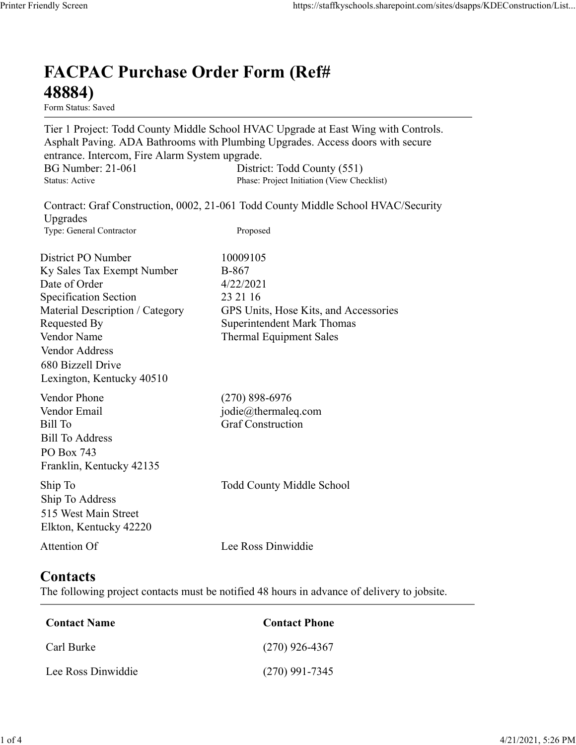## FACPAC Purchase Order Form (Ref# 48884)

Tier 1 Project: Todd County Middle School HVAC Upgrade at East Wing with Controls. Asphalt Paving. ADA Bathrooms with Plumbing Upgrades. Access doors with secure entrance. Intercom, Fire Alarm System upgrade. https://staffkyschools.sharepoint.com/sites/dsapps/KDEConstructic<br> **FACPAC Purchase Order Form (Ref#**<br>
Form Status: Saved<br>
Tier 1 Project: Todd County Middle School HVAC Upgrade at East Wing with Controls.<br>
Asphalt Paving, https://staffkyschools.sharepoint.com/sites/dsapps/KDEConstructic<br> **FACPAC Purchase Order Form (Ref#**<br>
Form Status: Saved<br>
Tier 1 Project: Todd County Middle School HVAC Upgrade at East Wing with Controls.<br>
Asphalt Paving. May Screen<br>
Intps://staffkyschools.sharepoint.com/sites/dsarps/KDFConstructic<br> **FACPAC Purchase Order Form (Ref#**<br>
Form Status: Saved<br>
Form Status: Saved<br>
Torpice: Todd County Middle School HVAC Upgrade at East Wing with C FACPAC Purchase Order Form (Ref#<br>
48884)<br>
Form Status: Saved<br>
Tier 1 Project: Todd County Middle School HVAC Upgrade at East Wing with Controls.<br>
Asphalt Paving. ADA Bathrooms with Plumbing Upgrades. Access doors with secu

| <b>FACPAC Purchase Order Form (Ref#</b><br>48884)<br>Form Status: Saved                                                                                                                                                                 |                                                                                                                                                                      |
|-----------------------------------------------------------------------------------------------------------------------------------------------------------------------------------------------------------------------------------------|----------------------------------------------------------------------------------------------------------------------------------------------------------------------|
| entrance. Intercom, Fire Alarm System upgrade.                                                                                                                                                                                          | Tier 1 Project: Todd County Middle School HVAC Upgrade at East Wing with Controls.<br>Asphalt Paving. ADA Bathrooms with Plumbing Upgrades. Access doors with secure |
| <b>BG Number: 21-061</b><br>Status: Active                                                                                                                                                                                              | District: Todd County (551)<br>Phase: Project Initiation (View Checklist)                                                                                            |
| Upgrades<br>Type: General Contractor                                                                                                                                                                                                    | Contract: Graf Construction, 0002, 21-061 Todd County Middle School HVAC/Security<br>Proposed                                                                        |
| District PO Number<br>Ky Sales Tax Exempt Number<br>Date of Order<br><b>Specification Section</b><br>Material Description / Category<br>Requested By<br>Vendor Name<br>Vendor Address<br>680 Bizzell Drive<br>Lexington, Kentucky 40510 | 10009105<br><b>B-867</b><br>4/22/2021<br>23 21 16<br>GPS Units, Hose Kits, and Accessories<br><b>Superintendent Mark Thomas</b><br><b>Thermal Equipment Sales</b>    |
| Vendor Phone<br>Vendor Email<br>Bill To<br><b>Bill To Address</b><br>PO Box 743<br>Franklin, Kentucky 42135                                                                                                                             | $(270)$ 898-6976<br>jodie@thermaleq.com<br><b>Graf Construction</b>                                                                                                  |
| Ship To<br>Ship To Address<br>515 West Main Street<br>Elkton, Kentucky 42220                                                                                                                                                            | <b>Todd County Middle School</b>                                                                                                                                     |
| Attention Of                                                                                                                                                                                                                            | Lee Ross Dinwiddie                                                                                                                                                   |
| <b>Contacts</b>                                                                                                                                                                                                                         | The following project contacts must be notified 48 hours in advance of delivery to jobsite.                                                                          |
| <b>Contact Name</b>                                                                                                                                                                                                                     | <b>Contact Phone</b>                                                                                                                                                 |
| Carl Burke                                                                                                                                                                                                                              | $(270)$ 926-4367                                                                                                                                                     |
| Lee Ross Dinwiddie                                                                                                                                                                                                                      | $(270)$ 991-7345                                                                                                                                                     |

## **Contacts**

| Contact Name       | <b>Contact Phone</b> |
|--------------------|----------------------|
| Carl Burke         | $(270)$ 926-4367     |
| Lee Ross Dinwiddie | $(270)$ 991-7345     |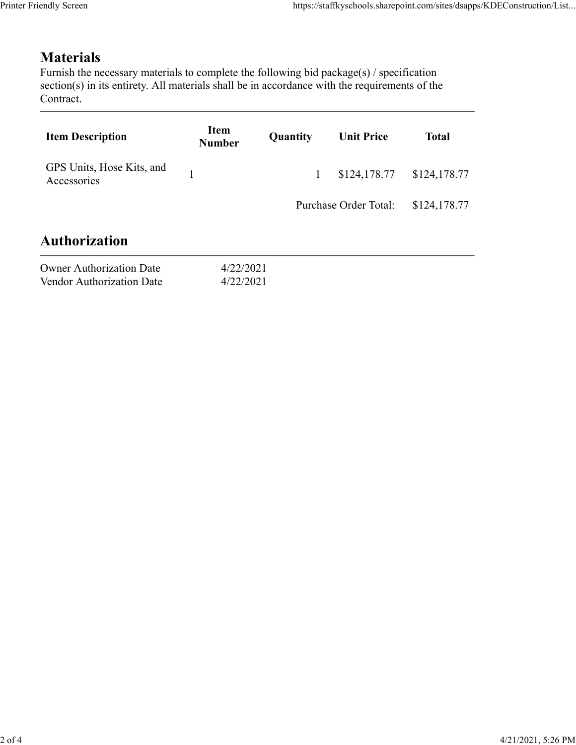## **Materials**

| endly Screen                                                                                                                                                                                                               |                        |          |                                                                         |              |
|----------------------------------------------------------------------------------------------------------------------------------------------------------------------------------------------------------------------------|------------------------|----------|-------------------------------------------------------------------------|--------------|
|                                                                                                                                                                                                                            |                        |          | https://staffkyschools.sharepoint.com/sites/dsapps/KDEConstruction/List |              |
| <b>Materials</b><br>Furnish the necessary materials to complete the following bid package(s) / specification<br>section(s) in its entirety. All materials shall be in accordance with the requirements of the<br>Contract. |                        |          |                                                                         |              |
| <b>Item Description</b>                                                                                                                                                                                                    | Item<br><b>Number</b>  | Quantity | <b>Unit Price</b>                                                       | <b>Total</b> |
| GPS Units, Hose Kits, and<br>Accessories                                                                                                                                                                                   | 1                      | 1        | \$124,178.77                                                            | \$124,178.77 |
|                                                                                                                                                                                                                            |                        |          | Purchase Order Total:                                                   | \$124,178.77 |
| <b>Authorization</b>                                                                                                                                                                                                       |                        |          |                                                                         |              |
| <b>Owner Authorization Date</b><br>Vendor Authorization Date                                                                                                                                                               | 4/22/2021<br>4/22/2021 |          |                                                                         |              |
|                                                                                                                                                                                                                            |                        |          |                                                                         |              |

| <b>Owner Authorization Date</b> | 4/22/202 |
|---------------------------------|----------|
| Vendor Authorization Date       | 4/22/202 |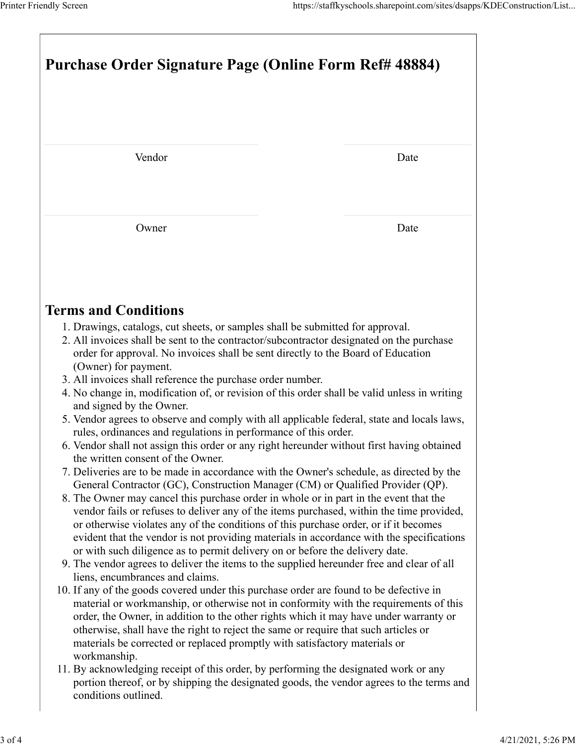|                                                                                                                                                                                                                                                                                                                                                                                                                                                                                                                                                                                     | https://staffkyschools.sharepoint.com/sites/dsapps/KDEConstruction/List |  |  |  |
|-------------------------------------------------------------------------------------------------------------------------------------------------------------------------------------------------------------------------------------------------------------------------------------------------------------------------------------------------------------------------------------------------------------------------------------------------------------------------------------------------------------------------------------------------------------------------------------|-------------------------------------------------------------------------|--|--|--|
| Printer Friendly Screen<br>Purchase Order Signature Page (Online Form Ref# 48884)                                                                                                                                                                                                                                                                                                                                                                                                                                                                                                   |                                                                         |  |  |  |
| Vendor                                                                                                                                                                                                                                                                                                                                                                                                                                                                                                                                                                              | Date                                                                    |  |  |  |
|                                                                                                                                                                                                                                                                                                                                                                                                                                                                                                                                                                                     |                                                                         |  |  |  |
| Owner                                                                                                                                                                                                                                                                                                                                                                                                                                                                                                                                                                               | Date                                                                    |  |  |  |
| <b>Terms and Conditions</b><br>1. Drawings, catalogs, cut sheets, or samples shall be submitted for approval.<br>2. All invoices shall be sent to the contractor/subcontractor designated on the purchase                                                                                                                                                                                                                                                                                                                                                                           |                                                                         |  |  |  |
| order for approval. No invoices shall be sent directly to the Board of Education<br>(Owner) for payment.<br>3. All invoices shall reference the purchase order number.<br>4. No change in, modification of, or revision of this order shall be valid unless in writing<br>and signed by the Owner.<br>5. Vendor agrees to observe and comply with all applicable federal, state and locals laws,                                                                                                                                                                                    |                                                                         |  |  |  |
| rules, ordinances and regulations in performance of this order.<br>6. Vendor shall not assign this order or any right hereunder without first having obtained<br>the written consent of the Owner.<br>7. Deliveries are to be made in accordance with the Owner's schedule, as directed by the<br>General Contractor (GC), Construction Manager (CM) or Qualified Provider (QP).<br>8. The Owner may cancel this purchase order in whole or in part in the event that the<br>vendor fails or refuses to deliver any of the items purchased, within the time provided,               |                                                                         |  |  |  |
| or otherwise violates any of the conditions of this purchase order, or if it becomes<br>evident that the vendor is not providing materials in accordance with the specifications<br>or with such diligence as to permit delivery on or before the delivery date.<br>9. The vendor agrees to deliver the items to the supplied hereunder free and clear of all<br>liens, encumbrances and claims.<br>10. If any of the goods covered under this purchase order are found to be defective in<br>material or workmanship, or otherwise not in conformity with the requirements of this |                                                                         |  |  |  |
| order, the Owner, in addition to the other rights which it may have under warranty or<br>otherwise, shall have the right to reject the same or require that such articles or<br>materials be corrected or replaced promptly with satisfactory materials or<br>workmanship.<br>11. By acknowledging receipt of this order, by performing the designated work or any                                                                                                                                                                                                                  |                                                                         |  |  |  |
| portion thereof, or by shipping the designated goods, the vendor agrees to the terms and<br>conditions outlined.                                                                                                                                                                                                                                                                                                                                                                                                                                                                    |                                                                         |  |  |  |